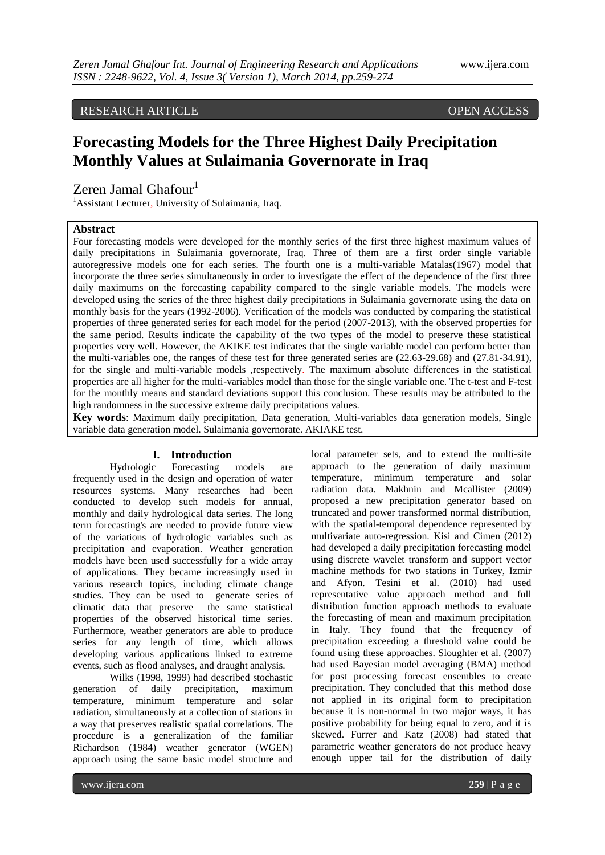# RESEARCH ARTICLE OPEN ACCESS

# **Forecasting Models for the Three Highest Daily Precipitation Monthly Values at Sulaimania Governorate in Iraq**

Zeren Jamal Ghafour<sup>1</sup>

<sup>1</sup>Assistant Lecturer, University of Sulaimania, Iraq.

## **Abstract**

Four forecasting models were developed for the monthly series of the first three highest maximum values of daily precipitations in Sulaimania governorate, Iraq. Three of them are a first order single variable autoregressive models one for each series. The fourth one is a multi-variable Matalas(1967) model that incorporate the three series simultaneously in order to investigate the effect of the dependence of the first three daily maximums on the forecasting capability compared to the single variable models. The models were developed using the series of the three highest daily precipitations in Sulaimania governorate using the data on monthly basis for the years (1992-2006). Verification of the models was conducted by comparing the statistical properties of three generated series for each model for the period (2007-2013), with the observed properties for the same period. Results indicate the capability of the two types of the model to preserve these statistical properties very well. However, the AKIKE test indicates that the single variable model can perform better than the multi-variables one, the ranges of these test for three generated series are (22.63-29.68) and (27.81-34.91), for the single and multi-variable models ,respectively. The maximum absolute differences in the statistical properties are all higher for the multi-variables model than those for the single variable one. The t-test and F-test for the monthly means and standard deviations support this conclusion. These results may be attributed to the high randomness in the successive extreme daily precipitations values.

**Key words**: Maximum daily precipitation, Data generation, Multi-variables data generation models, Single variable data generation model. Sulaimania governorate. AKIAKE test.

#### **I. Introduction**

Hydrologic Forecasting models are frequently used in the design and operation of water resources systems. Many researches had been conducted to develop such models for annual, monthly and daily hydrological data series. The long term forecasting's are needed to provide future view of the variations of hydrologic variables such as precipitation and evaporation. Weather generation models have been used successfully for a wide array of applications. They became increasingly used in various research topics, including climate change studies. They can be used to generate series of climatic data that preserve the same statistical properties of the observed historical time series. Furthermore, weather generators are able to produce series for any length of time, which allows developing various applications linked to extreme events, such as flood analyses, and draught analysis.

Wilks (1998, 1999) had described stochastic generation of daily precipitation, maximum temperature, minimum temperature and solar radiation, simultaneously at a collection of stations in a way that preserves realistic spatial correlations. The procedure is a generalization of the familiar Richardson (1984) weather generator (WGEN) approach using the same basic model structure and

local parameter sets, and to extend the multi-site approach to the generation of daily maximum temperature, minimum temperature and solar radiation data. Makhnin and Mcallister (2009) proposed a new precipitation generator based on truncated and power transformed normal distribution, with the spatial-temporal dependence represented by multivariate auto-regression. Kisi and Cimen (2012) had developed a daily precipitation forecasting model using discrete wavelet transform and support vector machine methods for two stations in Turkey, Izmir and Afyon. Tesini et al. (2010) had used representative value approach method and full distribution function approach methods to evaluate the forecasting of mean and maximum precipitation in Italy. They found that the frequency of precipitation exceeding a threshold value could be found using these approaches. Sloughter et al. (2007) had used Bayesian model averaging (BMA) method for post processing forecast ensembles to create precipitation. They concluded that this method dose not applied in its original form to precipitation because it is non-normal in two major ways, it has positive probability for being equal to zero, and it is skewed. Furrer and Katz (2008) had stated that parametric weather generators do not produce heavy enough upper tail for the distribution of daily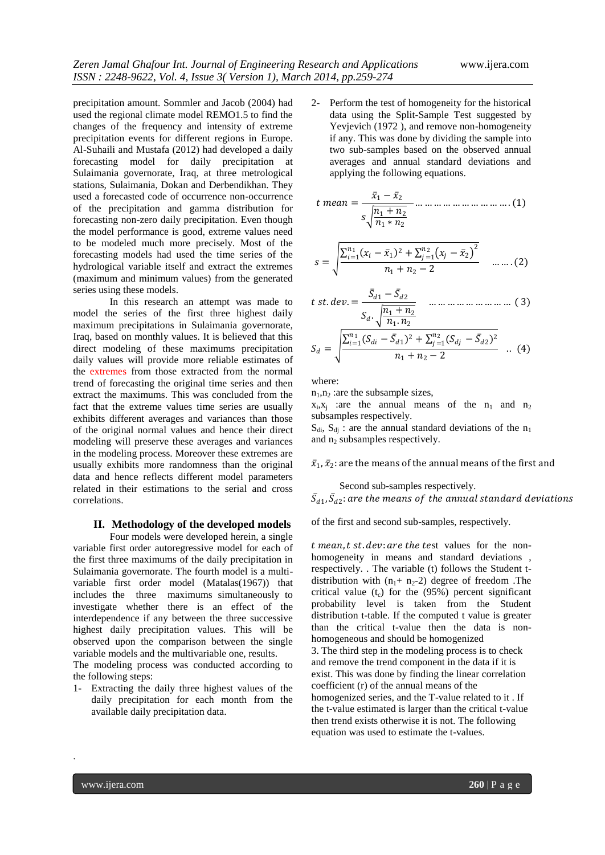precipitation amount. Sommler and Jacob (2004) had used the regional climate model REMO1.5 to find the changes of the frequency and intensity of extreme precipitation events for different regions in Europe. Al-Suhaili and Mustafa (2012) had developed a daily forecasting model for daily precipitation at Sulaimania governorate, Iraq, at three metrological stations, Sulaimania, Dokan and Derbendikhan. They used a forecasted code of occurrence non-occurrence of the precipitation and gamma distribution for forecasting non-zero daily precipitation. Even though the model performance is good, extreme values need to be modeled much more precisely. Most of the forecasting models had used the time series of the hydrological variable itself and extract the extremes (maximum and minimum values) from the generated series using these models.

In this research an attempt was made to model the series of the first three highest daily maximum precipitations in Sulaimania governorate, Iraq, based on monthly values. It is believed that this direct modeling of these maximums precipitation daily values will provide more reliable estimates of the extremes from those extracted from the normal trend of forecasting the original time series and then extract the maximums. This was concluded from the fact that the extreme values time series are usually exhibits different averages and variances than those of the original normal values and hence their direct modeling will preserve these averages and variances in the modeling process. Moreover these extremes are usually exhibits more randomness than the original data and hence reflects different model parameters related in their estimations to the serial and cross correlations.

#### **II. Methodology of the developed models**

Four models were developed herein, a single variable first order autoregressive model for each of the first three maximums of the daily precipitation in Sulaimania governorate. The fourth model is a multivariable first order model (Matalas(1967)) that includes the three maximums simultaneously to investigate whether there is an effect of the interdependence if any between the three successive highest daily precipitation values. This will be observed upon the comparison between the single variable models and the multivariable one, results.

The modeling process was conducted according to the following steps:

1- Extracting the daily three highest values of the daily precipitation for each month from the available daily precipitation data.

2- Perform the test of homogeneity for the historical data using the Split-Sample Test suggested by Yevjevich (1972 ), and remove non-homogeneity if any. This was done by dividing the sample into two sub-samples based on the observed annual averages and annual standard deviations and applying the following equations.

 = <sup>1</sup> − <sup>2</sup> <sup>1</sup> + <sup>2</sup> <sup>1</sup> ∗ <sup>2</sup> … … … … … … … … … … . (1)

$$
s = \sqrt{\frac{\sum_{i=1}^{n_1} (x_i - \bar{x}_1)^2 + \sum_{j=1}^{n_2} (x_j - \bar{x}_2)^2}{n_1 + n_2 - 2}} \quad \dots \dots (2)
$$

t st. dev. = 
$$
\frac{\bar{S}_{d1} - \bar{S}_{d2}}{S_d \cdot \sqrt{\frac{n_1 + n_2}{n_1 n_2}}}
$$
 ....... ... ... ... ... ... (3)  

$$
S_d = \sqrt{\frac{\sum_{i=1}^{n_1} (S_{di} - \bar{S}_{d1})^2 + \sum_{j=1}^{n_2} (S_{dj} - \bar{S}_{d2})^2}{n_1 + n_2 - 2}}
$$
 .. (4)

where:

 $n_1, n_2$  : are the subsample sizes,

 $x_i, x_j$  are the annual means of the  $n_1$  and  $n_2$ subsamples respectively.

 $S_{di}$ ,  $S_{di}$  : are the annual standard deviations of the n<sub>1</sub> and  $n_2$  subsamples respectively.

 $\bar{x}_1$ ,  $\bar{x}_2$ : are the means of the annual means of the first and

Second sub-samples respectively.

 $\bar{S}_{d1}$ ,  $\bar{S}_{d2}$ : are the means of the annual standard deviations

of the first and second sub-samples, respectively.

 $t$  mean,  $t$  st.  $dev$ : are the test values for the nonhomogeneity in means and standard deviations , respectively. . The variable (t) follows the Student tdistribution with  $(n_1 + n_2 - 2)$  degree of freedom. The critical value  $(t_c)$  for the (95%) percent significant probability level is taken from the Student distribution t-table. If the computed t value is greater than the critical t-value then the data is nonhomogeneous and should be homogenized 3. The third step in the modeling process is to check and remove the trend component in the data if it is exist. This was done by finding the linear correlation coefficient (r) of the annual means of the homogenized series, and the T-value related to it . If the t-value estimated is larger than the critical t-value then trend exists otherwise it is not. The following equation was used to estimate the t-values.

.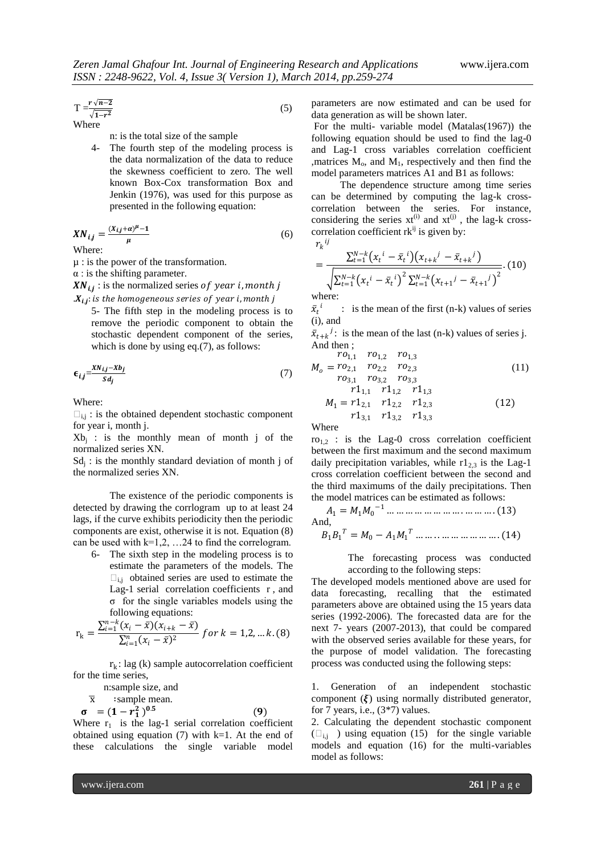$$
T = \frac{r\sqrt{n-2}}{\sqrt{1-r^2}}\tag{5}
$$

Where

n: is the total size of the sample

4- The fourth step of the modeling process is the data normalization of the data to reduce the skewness coefficient to zero. The well known Box-Cox transformation Box and Jenkin (1976), was used for this purpose as presented in the following equation:

$$
XN_{i,j} = \frac{(X_{i,j} + \alpha)^{\mu} - 1}{\mu} \tag{6}
$$

Where:

µ : is the power of the transformation.

 $\alpha$  : is the shifting parameter.

 $XN_{i,j}$  : is the normalized series of year i, month j

 $X_{i,j}$ : is the homogeneous series of year i, month j 5- The fifth step in the modeling process is to remove the periodic component to obtain the stochastic dependent component of the series, which is done by using eq.(7), as follows:

$$
\epsilon_{i,j} = \frac{X N_{i,j} - X b_j}{S d_j} \tag{7}
$$

Where:

 $\square_{i,j}$ : is the obtained dependent stochastic component for year i, month j.

 $Xb_j$  : is the monthly mean of month j of the normalized series XN.

 $Sd<sub>j</sub>$ : is the monthly standard deviation of month j of the normalized series XN.

The existence of the periodic components is detected by drawing the corrlogram up to at least 24 lags, if the curve exhibits periodicity then the periodic components are exist, otherwise it is not. Equation (8) can be used with  $k=1,2, \ldots 24$  to find the correlogram.

6- The sixth step in the modeling process is to estimate the parameters of the models. The  $\square_{i,j}$  obtained series are used to estimate the Lag-1 serial correlation coefficients r , and σ for the single variables models using the following equations:

$$
r_{k} = \frac{\sum_{i=1}^{n-k} (x_{i} - \bar{x})(x_{i+k} - \bar{x})}{\sum_{i=1}^{n} (x_{i} - \bar{x})^{2}} \text{ for } k = 1, 2, \dots k. (8)
$$

 $r_k$ : lag (k) sample autocorrelation coefficient for the time series,

n:sample size, and

$$
\overline{x} \qquad \text{sample mean.}
$$
  

$$
\sigma = (1 - r_1^2)^{0.5} \tag{9}
$$

Where  $r_1$  is the lag-1 serial correlation coefficient obtained using equation  $(7)$  with k=1. At the end of these calculations the single variable model

parameters are now estimated and can be used for data generation as will be shown later.

For the multi- variable model (Matalas(1967)) the following equation should be used to find the lag-0 and Lag-1 cross variables correlation coefficient , matrices  $M_0$ , and  $M_1$ , respectively and then find the model parameters matrices A1 and B1 as follows:

The dependence structure among time series can be determined by computing the lag-k crosscorrelation between the series. For instance, considering the series  $xt^{(i)}$  and  $xt^{(j)}$ , the lag-k crosscorrelation coefficient  $rk^{ij}$  is given by:  $r_k{}^{ij}$ 

$$
\Sigma_{t=1}^{N-k}
$$

$$
= \frac{\sum_{t=1}^{N-k} (x_t^i - \bar{x}_t^i)(x_{t+k}^j - \bar{x}_{t+k}^j)}{\sqrt{\sum_{t=1}^{N-k} (x_t^i - \bar{x}_t^i)^2 \sum_{t=1}^{N-k} (x_{t+1}^j - \bar{x}_{t+1}^j)^2}}. (10)
$$

where:

 $\bar{x_t}^i$  : is the mean of the first (n-k) values of series (i), and

 $\bar{x}_{t+k}$ <sup>*j*</sup>: is the mean of the last (n-k) values of series j. And then ;

$$
r_{01,1} \t r_{01,2} \t r_{01,3}
$$
\n
$$
M_0 = r_{02,1} \t r_{02,2} \t r_{02,3}
$$
\n
$$
r_{03,1} \t r_{03,2} \t r_{03,3}
$$
\n
$$
r_{11,1} \t r_{11,2} \t r_{11,3}
$$
\n
$$
M_1 = r_{12,1} \t r_{12,2} \t r_{12,3}
$$
\n
$$
r_{13,1} \t r_{13,2} \t r_{13,3}
$$
\n(12)

Where

 $ro<sub>1,2</sub>$ : is the Lag-0 cross correlation coefficient between the first maximum and the second maximum daily precipitation variables, while  $r1_{2,3}$  is the Lag-1 cross correlation coefficient between the second and the third maximums of the daily precipitations. Then the model matrices can be estimated as follows:

<sup>1</sup> = 1<sup>0</sup> <sup>−</sup><sup>1</sup> … … … … … … … … . … … … . (13) And,

$$
B_1B_1^T = M_0 - A_1M_1^T \dots \dots \dots \dots \dots \dots \dots \dots \dots (14)
$$

The forecasting process was conducted according to the following steps:

The developed models mentioned above are used for data forecasting, recalling that the estimated parameters above are obtained using the 15 years data series (1992-2006). The forecasted data are for the next 7- years (2007-2013), that could be compared with the observed series available for these years, for the purpose of model validation. The forecasting process was conducted using the following steps:

1. Generation of an independent stochastic component  $(\xi)$  using normally distributed generator, for  $\overline{7}$  years, i.e., (3\*7) values.

2. Calculating the dependent stochastic component  $(\Box_{i,j})$  using equation (15) for the single variable models and equation (16) for the multi-variables model as follows: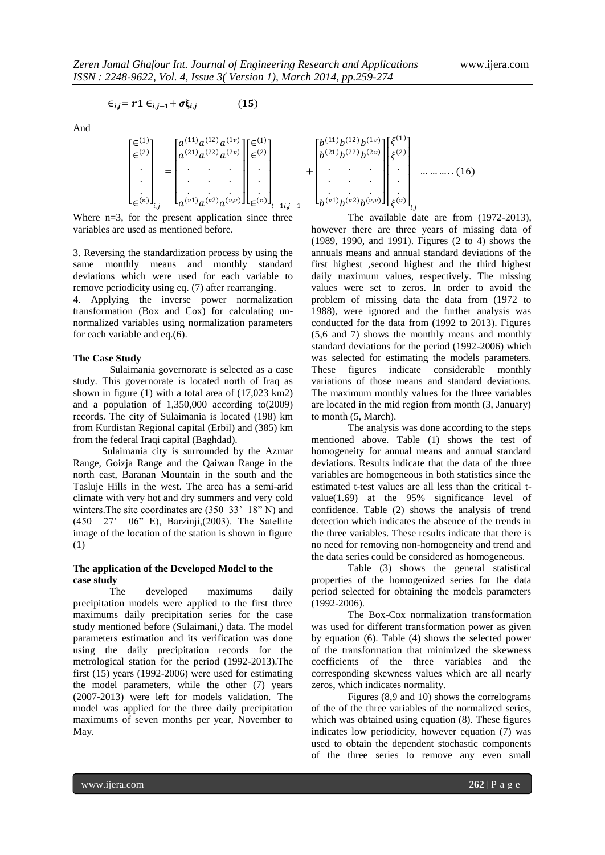$$
W W W J U U
$$

$$
\epsilon_{i,j} = r1 \epsilon_{i,j-1} + \sigma \xi_{i,j} \tag{15}
$$

And

$$
\begin{bmatrix} \epsilon^{(1)} \\ \epsilon^{(2)} \\ \vdots \\ \epsilon^{(n)} \end{bmatrix}_{i,j} = \begin{bmatrix} a^{(11)} a^{(12)} a^{(1v)} \\ \vdots \\ a^{(v1)} a^{(v2)} a^{(vv)} \end{bmatrix} \begin{bmatrix} \epsilon^{(1)} \\ \epsilon^{(2)} \\ \vdots \\ \epsilon^{(n)} \end{bmatrix}_{t-1 i, j-1}
$$

Where  $n=3$ , for the present application since three variables are used as mentioned before.

3. Reversing the standardization process by using the same monthly means and monthly standard deviations which were used for each variable to remove periodicity using eq. (7) after rearranging.

4. Applying the inverse power normalization transformation (Box and Cox) for calculating unnormalized variables using normalization parameters for each variable and eq.(6).

#### **The Case Study**

Sulaimania governorate is selected as a case study. This governorate is located north of Iraq as shown in figure (1) with a total area of (17,023 km2) and a population of 1,350,000 according to(2009) records. The city of Sulaimania is located (198) km from Kurdistan Regional capital (Erbil) and (385) km from the federal Iraqi capital (Baghdad).

Sulaimania city is surrounded by the Azmar Range, Goizja Range and the Qaiwan Range in the north east, Baranan Mountain in the south and the Tasluje Hills in the west. The area has a semi-arid climate with very hot and dry summers and very cold winters. The site coordinates are  $(350 \ 33' \ 18" N)$  and (450 27' 06" E), Barzinji,(2003). The Satellite image of the location of the station is shown in figure (1)

#### **The application of the Developed Model to the case study**

The developed maximums daily precipitation models were applied to the first three maximums daily precipitation series for the case study mentioned before (Sulaimani,) data. The model parameters estimation and its verification was done using the daily precipitation records for the metrological station for the period (1992-2013).The first (15) years (1992-2006) were used for estimating the model parameters, while the other (7) years (2007-2013) were left for models validation. The model was applied for the three daily precipitation maximums of seven months per year, November to May.

$$
+ \begin{bmatrix} b^{(11)}b^{(12)}b^{(1v)} \\ b^{(21)}b^{(22)}b^{(2v)} \\ \vdots \\ b^{(v1)}b^{(v2)}b^{(v,v)} \end{bmatrix} \begin{bmatrix} \xi^{(1)} \\ \xi^{(2)} \\ \vdots \\ \xi^{(v)} \end{bmatrix} \dots \dots \dots \dots (16)
$$

The available date are from (1972-2013), however there are three years of missing data of (1989, 1990, and 1991). Figures (2 to 4) shows the annuals means and annual standard deviations of the first highest ,second highest and the third highest daily maximum values, respectively. The missing values were set to zeros. In order to avoid the problem of missing data the data from (1972 to 1988), were ignored and the further analysis was conducted for the data from (1992 to 2013). Figures (5,6 and 7) shows the monthly means and monthly standard deviations for the period (1992-2006) which was selected for estimating the models parameters. These figures indicate considerable monthly variations of those means and standard deviations. The maximum monthly values for the three variables are located in the mid region from month (3, January) to month (5, March).

The analysis was done according to the steps mentioned above. Table (1) shows the test of homogeneity for annual means and annual standard deviations. Results indicate that the data of the three variables are homogeneous in both statistics since the estimated t-test values are all less than the critical tvalue(1.69) at the 95% significance level of confidence. Table (2) shows the analysis of trend detection which indicates the absence of the trends in the three variables. These results indicate that there is no need for removing non-homogeneity and trend and the data series could be considered as homogeneous.

Table (3) shows the general statistical properties of the homogenized series for the data period selected for obtaining the models parameters (1992-2006).

The Box-Cox normalization transformation was used for different transformation power as given by equation (6). Table (4) shows the selected power of the transformation that minimized the skewness coefficients of the three variables and the corresponding skewness values which are all nearly zeros, which indicates normality.

Figures (8,9 and 10) shows the correlograms of the of the three variables of the normalized series, which was obtained using equation (8). These figures indicates low periodicity, however equation (7) was used to obtain the dependent stochastic components of the three series to remove any even small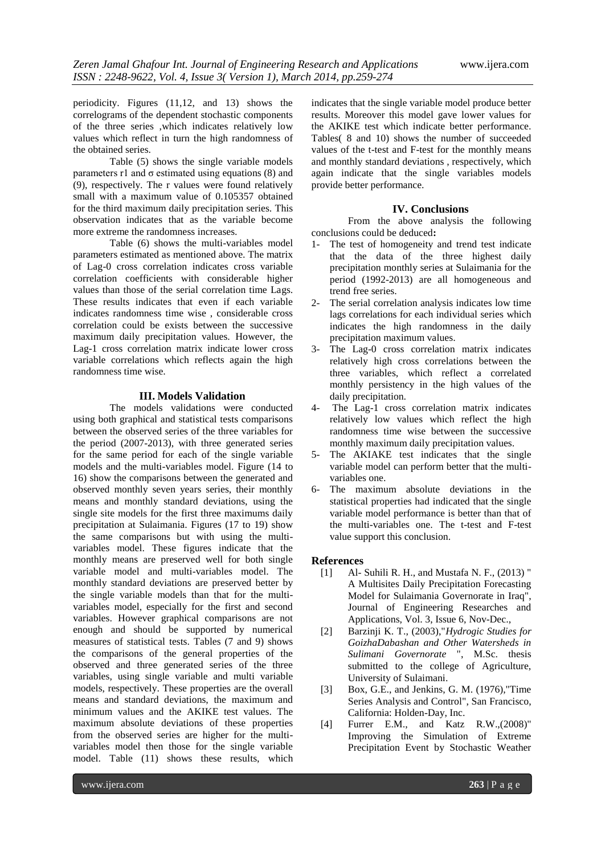periodicity. Figures (11,12, and 13) shows the correlograms of the dependent stochastic components of the three series ,which indicates relatively low values which reflect in turn the high randomness of the obtained series.

Table (5) shows the single variable models parameters r1 and  $\sigma$  estimated using equations (8) and (9), respectively. The r values were found relatively small with a maximum value of 0.105357 obtained for the third maximum daily precipitation series. This observation indicates that as the variable become more extreme the randomness increases.

Table (6) shows the multi-variables model parameters estimated as mentioned above. The matrix of Lag-0 cross correlation indicates cross variable correlation coefficients with considerable higher values than those of the serial correlation time Lags. These results indicates that even if each variable indicates randomness time wise , considerable cross correlation could be exists between the successive maximum daily precipitation values. However, the Lag-1 cross correlation matrix indicate lower cross variable correlations which reflects again the high randomness time wise.

#### **III. Models Validation**

The models validations were conducted using both graphical and statistical tests comparisons between the observed series of the three variables for the period (2007-2013), with three generated series for the same period for each of the single variable models and the multi-variables model. Figure (14 to 16) show the comparisons between the generated and observed monthly seven years series, their monthly means and monthly standard deviations, using the single site models for the first three maximums daily precipitation at Sulaimania. Figures (17 to 19) show the same comparisons but with using the multivariables model. These figures indicate that the monthly means are preserved well for both single variable model and multi-variables model. The monthly standard deviations are preserved better by the single variable models than that for the multivariables model, especially for the first and second variables. However graphical comparisons are not enough and should be supported by numerical measures of statistical tests. Tables (7 and 9) shows the comparisons of the general properties of the observed and three generated series of the three variables, using single variable and multi variable models, respectively. These properties are the overall means and standard deviations, the maximum and minimum values and the AKIKE test values. The maximum absolute deviations of these properties from the observed series are higher for the multivariables model then those for the single variable model. Table (11) shows these results, which

indicates that the single variable model produce better results. Moreover this model gave lower values for the AKIKE test which indicate better performance. Tables( 8 and 10) shows the number of succeeded values of the t-test and F-test for the monthly means and monthly standard deviations , respectively, which again indicate that the single variables models provide better performance.

#### **IV. Conclusions**

From the above analysis the following conclusions could be deduced**:**

- 1- The test of homogeneity and trend test indicate that the data of the three highest daily precipitation monthly series at Sulaimania for the period (1992-2013) are all homogeneous and trend free series.
- 2- The serial correlation analysis indicates low time lags correlations for each individual series which indicates the high randomness in the daily precipitation maximum values.
- 3- The Lag-0 cross correlation matrix indicates relatively high cross correlations between the three variables, which reflect a correlated monthly persistency in the high values of the daily precipitation.
- 4- The Lag-1 cross correlation matrix indicates relatively low values which reflect the high randomness time wise between the successive monthly maximum daily precipitation values.
- 5- The AKIAKE test indicates that the single variable model can perform better that the multivariables one.
- 6- The maximum absolute deviations in the statistical properties had indicated that the single variable model performance is better than that of the multi-variables one. The t-test and F-test value support this conclusion.

### **References**

- [1] Al- Suhili R. H., and Mustafa N. F., (2013) " A Multisites Daily Precipitation Forecasting Model for Sulaimania Governorate in Iraq", Journal of Engineering Researches and Applications, Vol. 3, Issue 6, Nov-Dec.,
- [2] Barzinji K. T., (2003),"*Hydrogic Studies for GoizhaDabashan and Other Watersheds in Sulimani Governorate* ", M.Sc. thesis submitted to the college of Agriculture, University of Sulaimani.
- [3] Box, G.E., and Jenkins, G. M. (1976),"Time Series Analysis and Control", San Francisco, California: Holden-Day, Inc.
- [4] Furrer E.M., and Katz R.W.,(2008)" Improving the Simulation of Extreme Precipitation Event by Stochastic Weather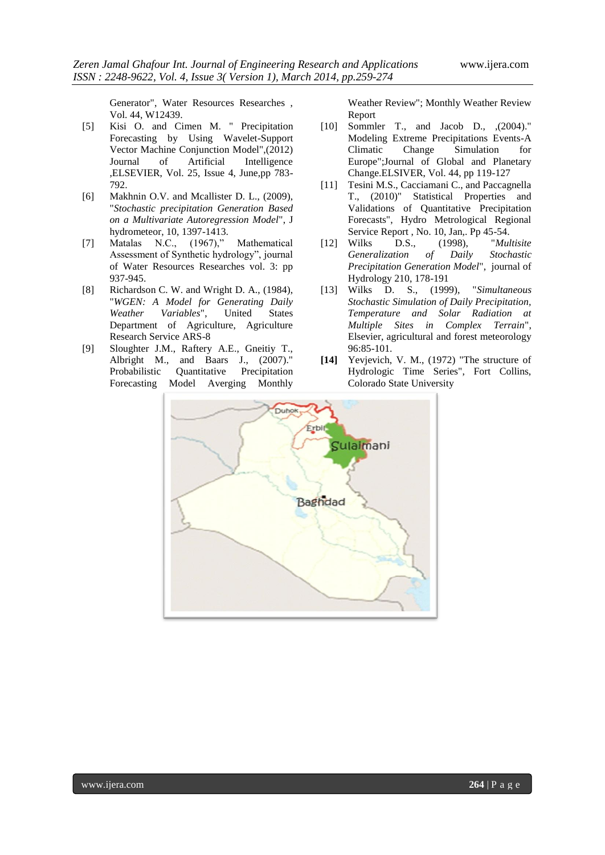Generator", Water Resources Researches , Vol. 44, W12439.

- [5] Kisi O. and Cimen M. " Precipitation Forecasting by Using Wavelet-Support Vector Machine Conjunction Model",(2012) Journal of Artificial Intelligence ,ELSEVIER, Vol. 25, Issue 4, June,pp 783- 792.
- [6] Makhnin O.V. and Mcallister D. L., (2009), "*Stochastic precipitation Generation Based on a Multivariate Autoregression Model*", J hydrometeor, 10, 1397-1413.
- [7] Matalas N.C., (1967)," Mathematical Assessment of Synthetic hydrology", journal of Water Resources Researches vol. 3: pp 937-945.
- [8] Richardson C. W. and Wright D. A., (1984), "*WGEN: A Model for Generating Daily Weather Variables*", United States Department of Agriculture, Agriculture Research Service ARS-8
- [9] Sloughter J.M., Raftery A.E., Gneitiy T., Albright M., and Baars J., (2007)." Probabilistic Quantitative Precipitation Forecasting Model Averging Monthly

Weather Review"; Monthly Weather Review Report

- [10] Sommler T., and Jacob D., ,(2004)." Modeling Extreme Precipitations Events-A Climatic Change Simulation for Europe";Journal of Global and Planetary Change.ELSIVER, Vol. 44, pp 119-127
- [11] Tesini M.S., Cacciamani C., and Paccagnella T., (2010)" Statistical Properties and Validations of Quantitative Precipitation Forecasts", Hydro Metrological Regional Service Report , No. 10, Jan,. Pp 45-54.
- [12] Wilks D.S., (1998), "*Multisite Generalization of Daily Stochastic Precipitation Generation Model*", journal of Hydrology 210, 178-191
- [13] Wilks D. S., (1999), "*Simultaneous Stochastic Simulation of Daily Precipitation, Temperature and Solar Radiation at Multiple Sites in Complex Terrain*", Elsevier, agricultural and forest meteorology 96:85-101.
- **[14]** Yevjevich, V. M., (1972) "The structure of Hydrologic Time Series", Fort Collins, Colorado State University

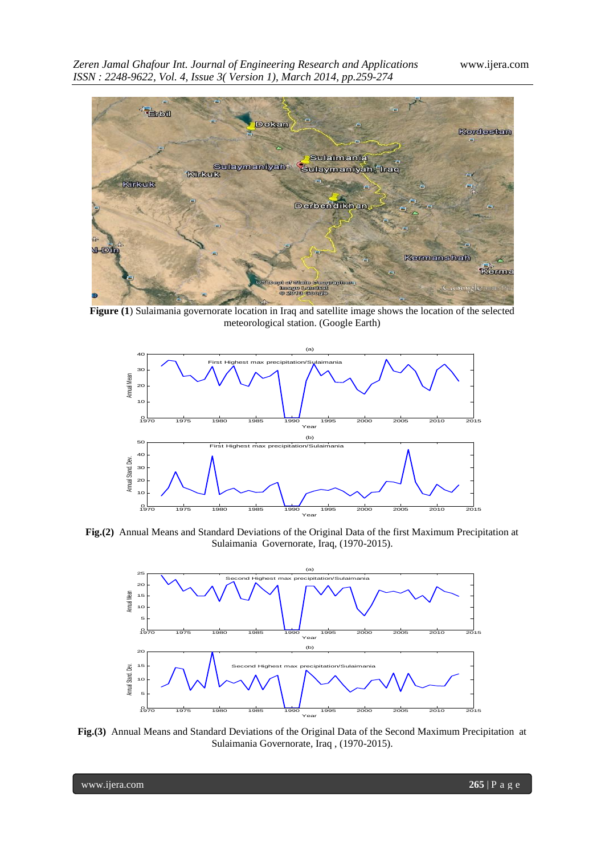

**Figure (1**) Sulaimania governorate location in Iraq and satellite image shows the location of the selected meteorological station. (Google Earth)



**Fig.(2)** Annual Means and Standard Deviations of the Original Data of the first Maximum Precipitation at Sulaimania Governorate, Iraq, (1970-2015).



**Fig.(3)** Annual Means and Standard Deviations of the Original Data of the Second Maximum Precipitation at Sulaimania Governorate, Iraq , (1970-2015).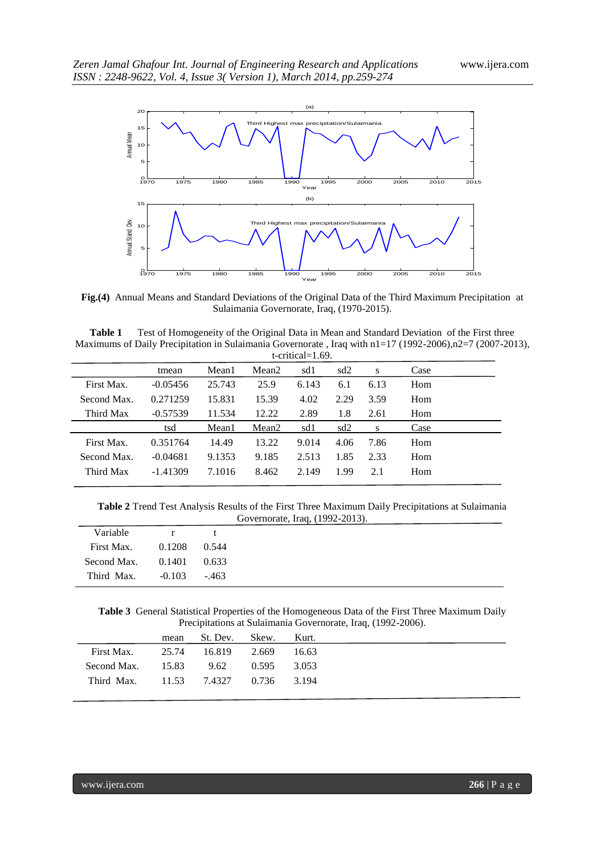

**Fig.(4)** Annual Means and Standard Deviations of the Original Data of the Third Maximum Precipitation at Sulaimania Governorate, Iraq, (1970-2015).

| Table 1 | Test of Homogeneity of the Original Data in Mean and Standard Deviation of the First three                        |
|---------|-------------------------------------------------------------------------------------------------------------------|
|         | Maximums of Daily Precipitation in Sulaimania Governorate, Iraq with $n = 17 (1992-2006)$ , $n = 7 (2007-2013)$ , |
|         | $t$ -critical–1.60                                                                                                |

|             |            |        |                   | $l$ under $l - 1.02$ . |      |      |      |
|-------------|------------|--------|-------------------|------------------------|------|------|------|
|             | tmean      | Mean1  | Mean <sub>2</sub> | sd1                    | sd2  | S    | Case |
| First Max.  | $-0.05456$ | 25.743 | 25.9              | 6.143                  | 6.1  | 6.13 | Hom  |
| Second Max. | 0.271259   | 15.831 | 15.39             | 4.02                   | 2.29 | 3.59 | Hom  |
| Third Max   | $-0.57539$ | 11.534 | 12.22             | 2.89                   | 1.8  | 2.61 | Hom  |
|             | tsd        | Mean1  | Mean <sub>2</sub> | sd1                    | sd2  | S    | Case |
| First Max.  | 0.351764   | 14.49  | 13.22             | 9.014                  | 4.06 | 7.86 | Hom  |
| Second Max. | $-0.04681$ | 9.1353 | 9.185             | 2.513                  | 1.85 | 2.33 | Hom  |
| Third Max   | $-1.41309$ | 7.1016 | 8.462             | 2.149                  | 1.99 | 2.1  | Hom  |
|             |            |        |                   |                        |      |      |      |

**Table 2** Trend Test Analysis Results of the First Three Maximum Daily Precipitations at Sulaimania Governorate, Iraq, (1992-2013).

| Variable    | r        | t      |
|-------------|----------|--------|
| First Max.  | 0.1208   | 0.544  |
| Second Max. | 0.1401   | 0.633  |
| Third Max.  | $-0.103$ | $-463$ |

**Table 3** General Statistical Properties of the Homogeneous Data of the First Three Maximum Daily Precipitations at Sulaimania Governorate, Iraq, (1992-2006).

| 25.74 16.819<br>2.669<br>- 16.63         |            |
|------------------------------------------|------------|
|                                          | First Max. |
| Second Max. 15.83 9.62<br>0.595<br>3.053 |            |
| Third Max. 11.53 7.4327 0.736<br>3.194   |            |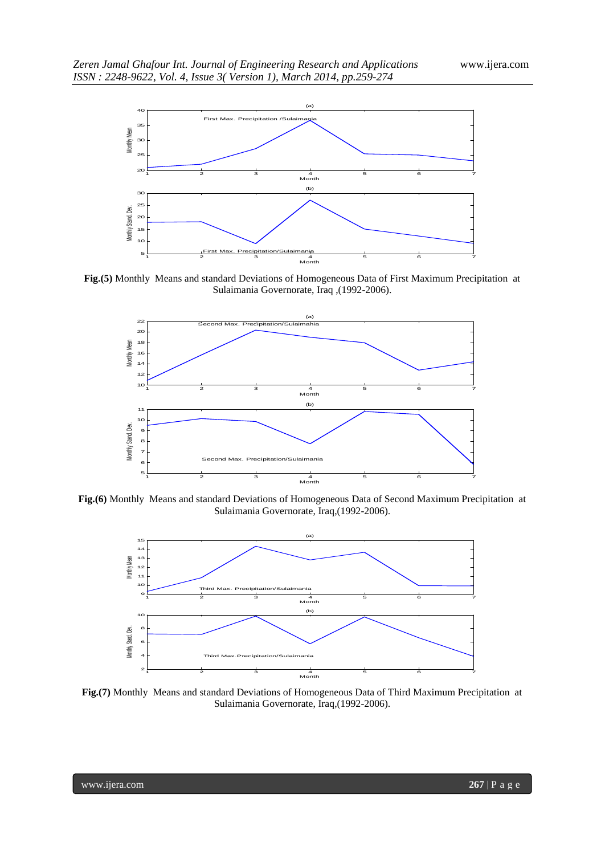

**Fig.(5)** Monthly Means and standard Deviations of Homogeneous Data of First Maximum Precipitation at Sulaimania Governorate, Iraq ,(1992-2006).



**Fig.(6)** Monthly Means and standard Deviations of Homogeneous Data of Second Maximum Precipitation at Sulaimania Governorate, Iraq,(1992-2006).



**Fig.(7)** Monthly Means and standard Deviations of Homogeneous Data of Third Maximum Precipitation at Sulaimania Governorate, Iraq,(1992-2006).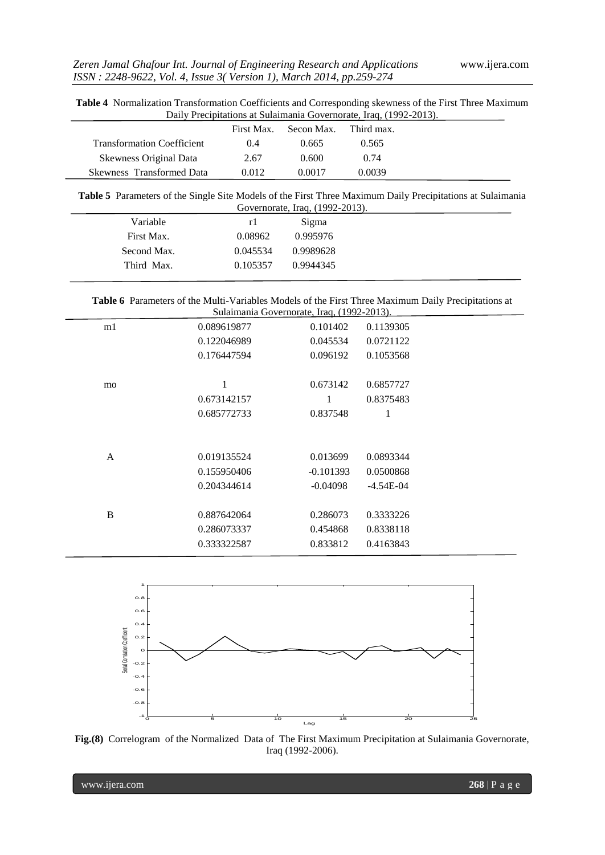**Table 4** Normalization Transformation Coefficients and Corresponding skewness of the First Three Maximum Daily Precipitations at Sulaimania Governorate, Iraq, (1992-2013).

|                                   | First Max | Secon Max. | Third max. |
|-----------------------------------|-----------|------------|------------|
| <b>Transformation Coefficient</b> | (0.4)     | 0.665      | 0.565      |
| Skewness Original Data            | 2.67      | 0.600      | 0.74       |
| Skewness Transformed Data         | 0.012     | 0.0017     | 0.0039     |

**Table 5** Parameters of the Single Site Models of the First Three Maximum Daily Precipitations at Sulaimania Governorate, Iraq, (1992-2013).

|             |          | $\frac{1}{20}$ |  |
|-------------|----------|----------------|--|
| Variable    | r I      | Sigma          |  |
| First Max.  | 0.08962  | 0.995976       |  |
| Second Max. | 0.045534 | 0.9989628      |  |
| Third Max.  | 0.105357 | 0.9944345      |  |
|             |          |                |  |

| Table 6 Parameters of the Multi-Variables Models of the First Three Maximum Daily Precipitations at |
|-----------------------------------------------------------------------------------------------------|
| Sulaimania Governorate, Iraq. (1992-2013).                                                          |

|    |             | Suidiliania Obvernorate, Iraq, (1 <i>772-2013)</i> . |             |  |
|----|-------------|------------------------------------------------------|-------------|--|
| m1 | 0.089619877 | 0.101402                                             | 0.1139305   |  |
|    | 0.122046989 | 0.045534                                             | 0.0721122   |  |
|    | 0.176447594 | 0.096192                                             | 0.1053568   |  |
|    |             |                                                      |             |  |
| mo | 1           | 0.673142                                             | 0.6857727   |  |
|    | 0.673142157 | 1                                                    | 0.8375483   |  |
|    | 0.685772733 | 0.837548                                             | 1           |  |
|    |             |                                                      |             |  |
|    |             |                                                      |             |  |
| A  | 0.019135524 | 0.013699                                             | 0.0893344   |  |
|    | 0.155950406 | $-0.101393$                                          | 0.0500868   |  |
|    | 0.204344614 | $-0.04098$                                           | $-4.54E-04$ |  |
|    |             |                                                      |             |  |
| B  | 0.887642064 | 0.286073                                             | 0.3333226   |  |
|    | 0.286073337 | 0.454868                                             | 0.8338118   |  |
|    | 0.333322587 | 0.833812                                             | 0.4163843   |  |
|    |             |                                                      |             |  |



**Fig.(8)** Correlogram of the Normalized Data of The First Maximum Precipitation at Sulaimania Governorate, Iraq (1992-2006).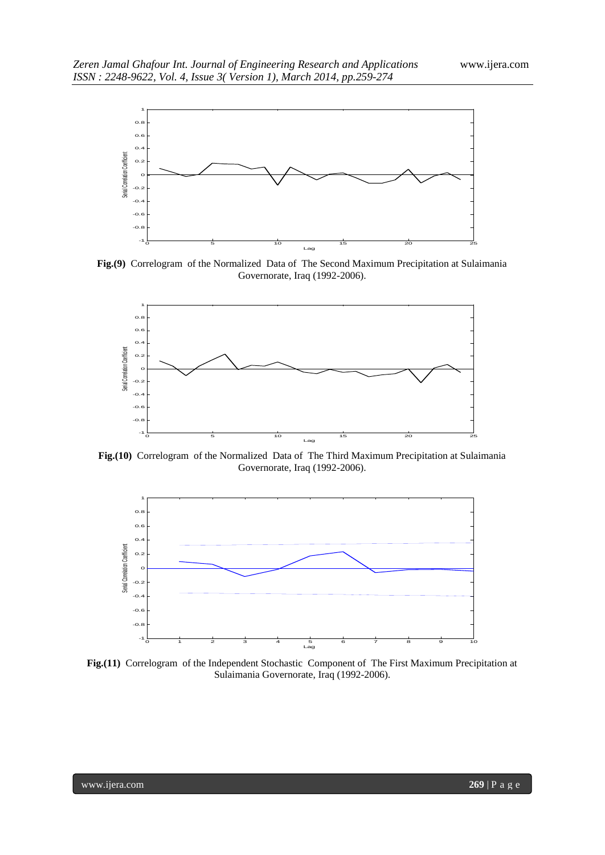

**Fig.(9)** Correlogram of the Normalized Data of The Second Maximum Precipitation at Sulaimania Governorate, Iraq (1992-2006).



**Fig.(10)** Correlogram of the Normalized Data of The Third Maximum Precipitation at Sulaimania Governorate, Iraq (1992-2006).



**Fig.(11)** Correlogram of the Independent Stochastic Component of The First Maximum Precipitation at Sulaimania Governorate, Iraq (1992-2006).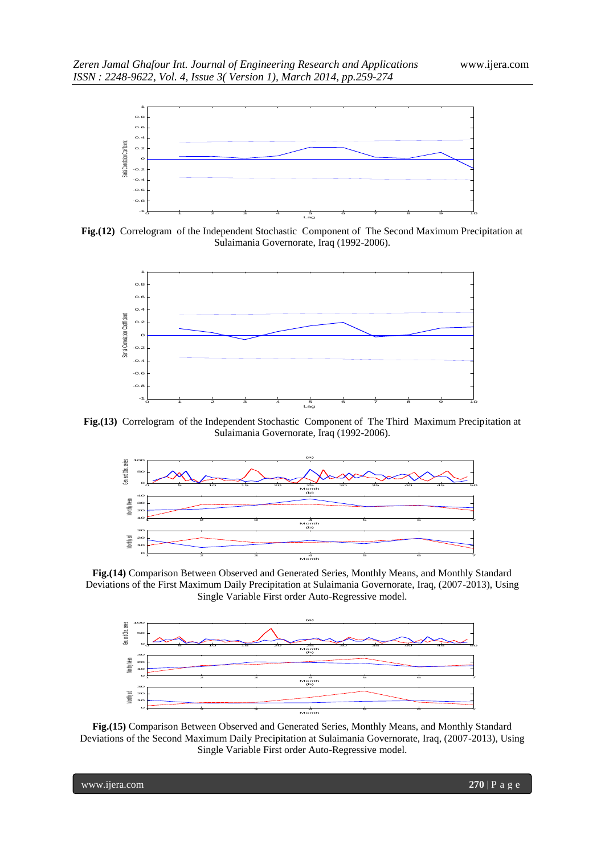

**Fig.(12)** Correlogram of the Independent Stochastic Component of The Second Maximum Precipitation at Sulaimania Governorate, Iraq (1992-2006).



**Fig.(13)** Correlogram of the Independent Stochastic Component of The Third Maximum Precipitation at Sulaimania Governorate, Iraq (1992-2006).



**Fig.(14)** Comparison Between Observed and Generated Series, Monthly Means, and Monthly Standard Deviations of the First Maximum Daily Precipitation at Sulaimania Governorate, Iraq, (2007-2013), Using Single Variable First order Auto-Regressive model.



**Fig.(15)** Comparison Between Observed and Generated Series, Monthly Means, and Monthly Standard Deviations of the Second Maximum Daily Precipitation at Sulaimania Governorate, Iraq, (2007-2013), Using Single Variable First order Auto-Regressive model.

www.ijera.com **270** | P a g e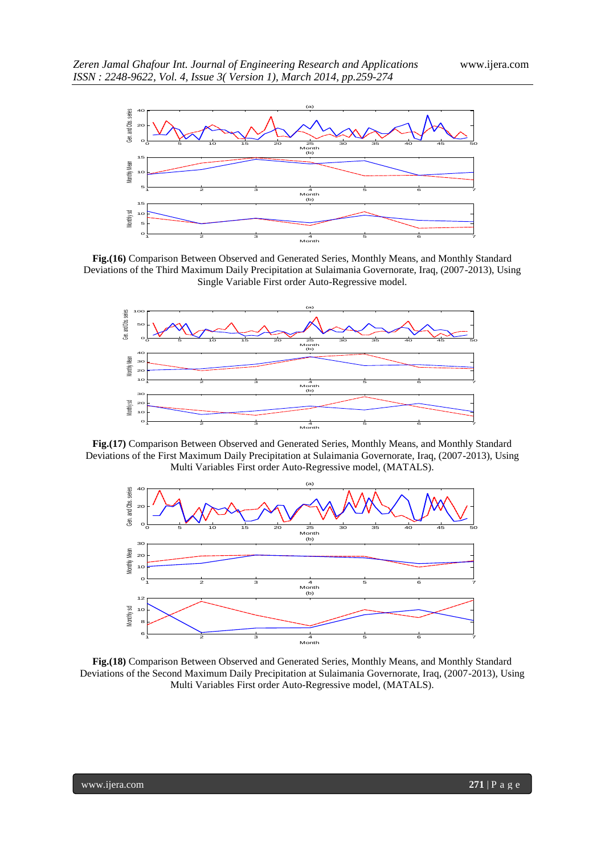

**Fig.(16)** Comparison Between Observed and Generated Series, Monthly Means, and Monthly Standard Deviations of the Third Maximum Daily Precipitation at Sulaimania Governorate, Iraq, (2007-2013), Using Single Variable First order Auto-Regressive model.



**Fig.(17)** Comparison Between Observed and Generated Series, Monthly Means, and Monthly Standard Deviations of the First Maximum Daily Precipitation at Sulaimania Governorate, Iraq, (2007-2013), Using Multi Variables First order Auto-Regressive model, (MATALS).



**Fig.(18)** Comparison Between Observed and Generated Series, Monthly Means, and Monthly Standard Deviations of the Second Maximum Daily Precipitation at Sulaimania Governorate, Iraq, (2007-2013), Using Multi Variables First order Auto-Regressive model, (MATALS).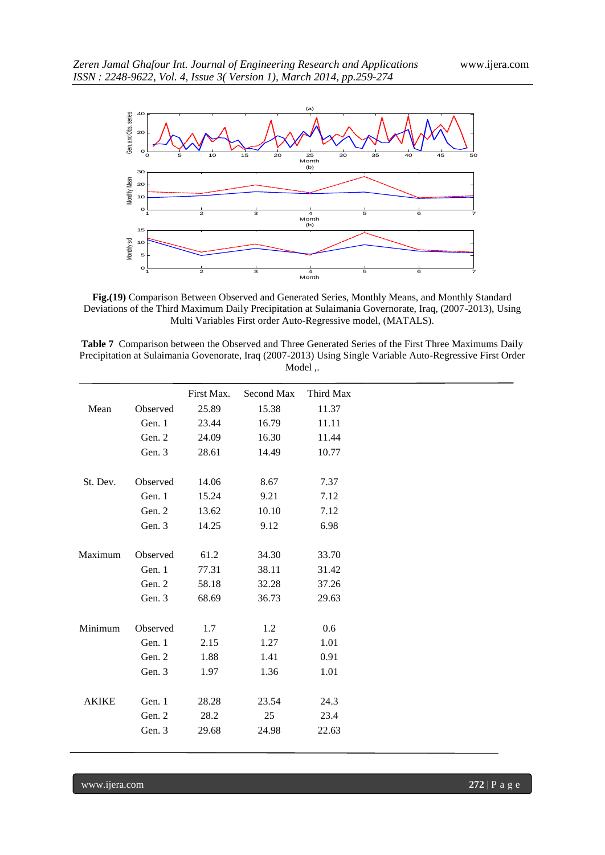

**Fig.(19)** Comparison Between Observed and Generated Series, Monthly Means, and Monthly Standard Deviations of the Third Maximum Daily Precipitation at Sulaimania Governorate, Iraq, (2007-2013), Using Multi Variables First order Auto-Regressive model, (MATALS).

| <b>Table 7</b> Comparison between the Observed and Three Generated Series of the First Three Maximums Daily |
|-------------------------------------------------------------------------------------------------------------|
| Precipitation at Sulaimania Govenorate, Iraq (2007-2013) Using Single Variable Auto-Regressive First Order  |
| Model                                                                                                       |

|              |          | First Max. | Second Max | Third Max |
|--------------|----------|------------|------------|-----------|
| Mean         | Observed | 25.89      | 15.38      | 11.37     |
|              | Gen. 1   | 23.44      | 16.79      | 11.11     |
|              | Gen. 2   | 24.09      | 16.30      | 11.44     |
|              | Gen. 3   | 28.61      | 14.49      | 10.77     |
|              |          |            |            |           |
| St. Dev.     | Observed | 14.06      | 8.67       | 7.37      |
|              | Gen. 1   | 15.24      | 9.21       | 7.12      |
|              | Gen. 2   | 13.62      | 10.10      | 7.12      |
|              | Gen. 3   | 14.25      | 9.12       | 6.98      |
|              |          |            |            |           |
| Maximum      | Observed | 61.2       | 34.30      | 33.70     |
|              | Gen. 1   | 77.31      | 38.11      | 31.42     |
|              | Gen. 2   | 58.18      | 32.28      | 37.26     |
|              | Gen. 3   | 68.69      | 36.73      | 29.63     |
| Minimum      | Observed | 1.7        | 1.2        | 0.6       |
|              | Gen. 1   | 2.15       | 1.27       | 1.01      |
|              | Gen. 2   | 1.88       | 1.41       | 0.91      |
|              | Gen. 3   | 1.97       | 1.36       | 1.01      |
|              |          |            |            |           |
| <b>AKIKE</b> | Gen. 1   | 28.28      | 23.54      | 24.3      |
|              | Gen. 2   | 28.2       | 25         | 23.4      |
|              | Gen. 3   | 29.68      | 24.98      | 22.63     |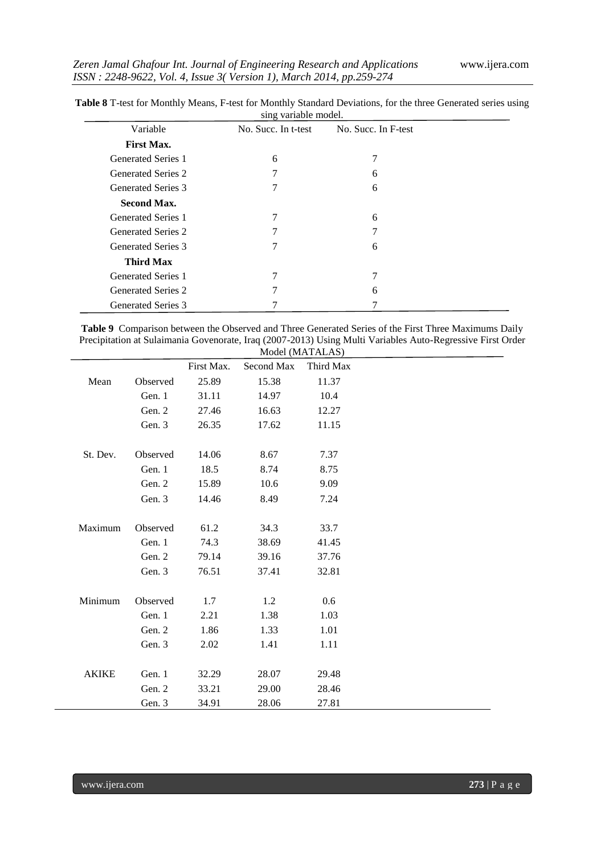|                           | sing variable model. |                     |  |
|---------------------------|----------------------|---------------------|--|
| Variable                  | No. Succ. In t-test  | No. Succ. In F-test |  |
| <b>First Max.</b>         |                      |                     |  |
| <b>Generated Series 1</b> | 6                    | 7                   |  |
| <b>Generated Series 2</b> | 7                    | 6                   |  |
| <b>Generated Series 3</b> | 7                    | 6                   |  |
| <b>Second Max.</b>        |                      |                     |  |
| <b>Generated Series 1</b> | 7                    | 6                   |  |
| <b>Generated Series 2</b> | 7                    | 7                   |  |
| Generated Series 3        | 7                    | 6                   |  |
| <b>Third Max</b>          |                      |                     |  |
| <b>Generated Series 1</b> | 7                    | 7                   |  |
| <b>Generated Series 2</b> | 7                    | 6                   |  |
| <b>Generated Series 3</b> |                      |                     |  |

**Table 8** T-test for Monthly Means, F-test for Monthly Standard Deviations, for the three Generated series using

**Table 9** Comparison between the Observed and Three Generated Series of the First Three Maximums Daily Precipitation at Sulaimania Govenorate, Iraq (2007-2013) Using Multi Variables Auto-Regressive First Order Model (MATALAS)

|              |          | First Max. | Second Max | Third Max |
|--------------|----------|------------|------------|-----------|
| Mean         | Observed | 25.89      | 15.38      | 11.37     |
|              | Gen. 1   | 31.11      | 14.97      | 10.4      |
|              | Gen. 2   | 27.46      | 16.63      | 12.27     |
|              | Gen. 3   | 26.35      | 17.62      | 11.15     |
|              |          |            |            |           |
| St. Dev.     | Observed | 14.06      | 8.67       | 7.37      |
|              | Gen. 1   | 18.5       | 8.74       | 8.75      |
|              | Gen. 2   | 15.89      | 10.6       | 9.09      |
|              | Gen. 3   | 14.46      | 8.49       | 7.24      |
|              |          |            |            |           |
| Maximum      | Observed | 61.2       | 34.3       | 33.7      |
|              | Gen. 1   | 74.3       | 38.69      | 41.45     |
|              | Gen. 2   | 79.14      | 39.16      | 37.76     |
|              | Gen. 3   | 76.51      | 37.41      | 32.81     |
|              |          |            |            |           |
| Minimum      | Observed | 1.7        | 1.2        | 0.6       |
|              | Gen. 1   | 2.21       | 1.38       | 1.03      |
|              | Gen. 2   | 1.86       | 1.33       | 1.01      |
|              | Gen. 3   | 2.02       | 1.41       | 1.11      |
|              |          |            |            |           |
| <b>AKIKE</b> | Gen. 1   | 32.29      | 28.07      | 29.48     |
|              | Gen. 2   | 33.21      | 29.00      | 28.46     |
|              | Gen. 3   | 34.91      | 28.06      | 27.81     |